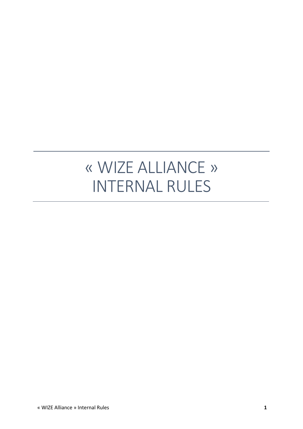# « WIZE ALLIANCE » INTERNAL RULES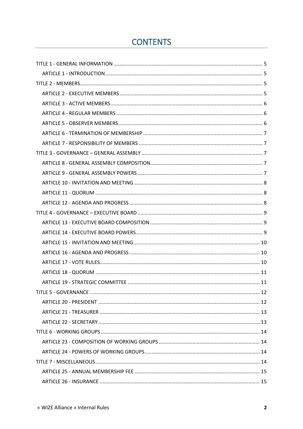# **CONTENTS**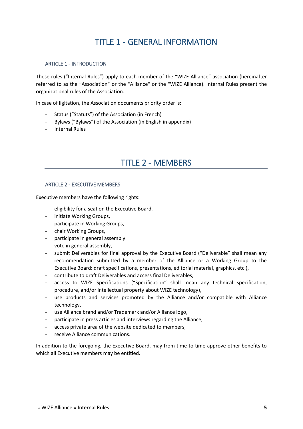### <span id="page-4-1"></span><span id="page-4-0"></span>ARTICLE 1 - INTRODUCTION

These rules ("Internal Rules") apply to each member of the "WIZE Alliance" association (hereinafter referred to as the "Association" or the "Alliance" or the "WIZE Alliance). Internal Rules present the organizational rules of the Association.

In case of ligitation, the Association documents priority order is:

- Status ("Statuts") of the Association (in French)
- Bylaws ("Bylaws") of the Association (in English in appendix)
- <span id="page-4-2"></span>- Internal Rules

# TITLE 2 - MEMBERS

### <span id="page-4-3"></span>ARTICLE 2 - EXECUTIVE MEMBERS

Executive members have the following rights:

- eligibility for a seat on the Executive Board,
- initiate Working Groups,
- participate in Working Groups,
- chair Working Groups,
- participate in general assembly
- vote in general assembly,
- submit Deliverables for final approval by the Executive Board ("Deliverable" shall mean any recommendation submitted by a member of the Alliance or a Working Group to the Executive Board: draft specifications, presentations, editorial material, graphics, etc.),
- contribute to draft Deliverables and access final Deliverables,
- access to WIZE Specifications ("Specification" shall mean any technical specification, procedure, and/or intellectual property about WIZE technology),
- use products and services promoted by the Alliance and/or compatible with Alliance technology,
- use Alliance brand and/or Trademark and/or Alliance logo,
- participate in press articles and interviews regarding the Alliance,
- access private area of the website dedicated to members,
- receive Alliance communications.

In addition to the foregoing, the Executive Board, may from time to time approve other benefits to which all Executive members may be entitled.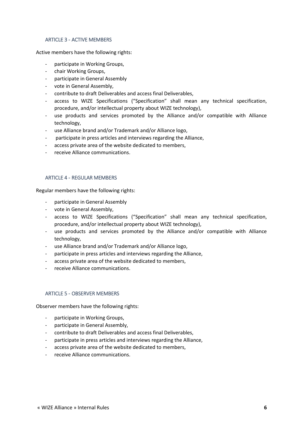### <span id="page-5-0"></span>ARTICLE 3 - ACTIVE MEMBERS

Active members have the following rights:

- participate in Working Groups,
- chair Working Groups,
- participate in General Assembly
- vote in General Assembly,
- contribute to draft Deliverables and access final Deliverables,
- access to WIZE Specifications ("Specification" shall mean any technical specification, procedure, and/or intellectual property about WIZE technology),
- use products and services promoted by the Alliance and/or compatible with Alliance technology,
- use Alliance brand and/or Trademark and/or Alliance logo,
- participate in press articles and interviews regarding the Alliance,
- access private area of the website dedicated to members,
- receive Alliance communications.

### <span id="page-5-1"></span>ARTICLE 4 - REGULAR MEMBERS

Regular members have the following rights:

- participate in General Assembly
- vote in General Assembly,
- access to WIZE Specifications ("Specification" shall mean any technical specification, procedure, and/or intellectual property about WIZE technology),
- use products and services promoted by the Alliance and/or compatible with Alliance technology,
- use Alliance brand and/or Trademark and/or Alliance logo,
- participate in press articles and interviews regarding the Alliance,
- access private area of the website dedicated to members,
- receive Alliance communications.

### <span id="page-5-2"></span>ARTICLE 5 - OBSERVER MEMBERS

Observer members have the following rights:

- participate in Working Groups,
- participate in General Assembly,
- contribute to draft Deliverables and access final Deliverables,
- participate in press articles and interviews regarding the Alliance,
- access private area of the website dedicated to members,
- receive Alliance communications.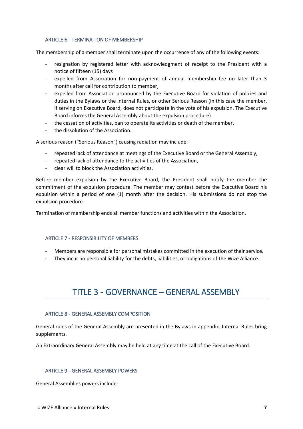### <span id="page-6-0"></span>ARTICLE 6 - TERMINATION OF MEMBERSHIP

The membership of a member shall terminate upon the occurrence of any of the following events:

- resignation by registered letter with acknowledgment of receipt to the President with a notice of fifteen (15) days
- expelled from Association for non-payment of annual membership fee no later than 3 months after call for contribution to member,
- expelled from Association pronounced by the Executive Board for violation of policies and duties in the Bylaws or the Internal Rules, or other Serious Reason (in this case the member, if serving on Executive Board, does not participate in the vote of his expulsion. The Executive Board informs the General Assembly about the expulsion procedure)
- the cessation of activities, ban to operate its activities or death of the member,
- the dissolution of the Association.

A serious reason ("Serious Reason") causing radiation may include:

- repeated lack of attendance at meetings of the Executive Board or the General Assembly,
- repeated lack of attendance to the activities of the Association,
- clear will to block the Association activities.

Before member expulsion by the Executive Board, the President shall notify the member the commitment of the expulsion procedure. The member may contest before the Executive Board his expulsion within a period of one (1) month after the decision. His submissions do not stop the expulsion procedure.

Termination of membership ends all member functions and activities within the Association.

### <span id="page-6-1"></span>ARTICLE 7 - RESPONSIBILITY OF MEMBERS

- Members are responsible for personal mistakes committed in the execution of their service.
- <span id="page-6-2"></span>They incur no personal liability for the debts, liabilities, or obligations of the Wize Alliance.

# TITLE 3 - GOVERNANCE – GENERAL ASSEMBLY

### <span id="page-6-3"></span>ARTICLE 8 - GENERAL ASSEMBLY COMPOSITION

General rules of the General Assembly are presented in the Bylaws in appendix. Internal Rules bring supplements.

An Extraordinary General Assembly may be held at any time at the call of the Executive Board.

### <span id="page-6-4"></span>ARTICLE 9 - GENERAL ASSEMBLY POWERS

General Assemblies powers include: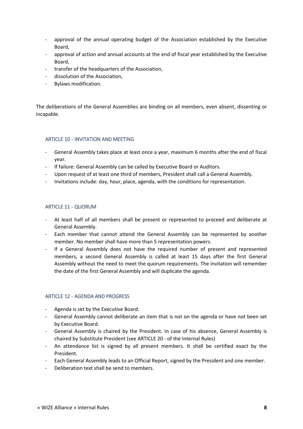- approval of the annual operating budget of the Association established by the Executive Board,
- approval of action and annual accounts at the end of fiscal year established by the Executive Board,
- transfer of the headquarters of the Association,
- dissolution of the Association,
- Bylaws modification.

The deliberations of the General Assemblies are binding on all members, even absent, dissenting or incapable.

### <span id="page-7-0"></span>ARTICLE 10 - INVITATION AND MEETING

- General Assembly takes place at least once a year, maximum 6 months after the end of fiscal year.
- If failure: General Assembly can be called by Executive Board or Auditors.
- Upon request of at least one third of members, President shall call a General Assembly.
- Invitations include: day, hour, place, agenda, with the conditions for representation.

### <span id="page-7-1"></span>ARTICLE 11 - QUORUM

- At least half of all members shall be present or represented to proceed and deliberate at General Assembly.
- Each member that cannot attend the General Assembly can be represented by another member. No member shall have more than 5 representation powers.
- If a General Assembly does not have the required number of present and represented members, a second General Assembly is called at least 15 days after the first General Assembly without the need to meet the quorum requirements. The invitation will remember the date of the first General Assembly and will duplicate the agenda.

### <span id="page-7-2"></span>ARTICLE 12 - AGENDA AND PROGRESS

- Agenda is set by the Executive Board.
- General Assembly cannot deliberate an item that is not on the agenda or have not been set by Executive Board.
- General Assembly is chaired by the President. In case of his absence, General Assembly is chaired by Substitute President (see [ARTICLE 20 -](#page-11-1) of the Internal Rules)
- An attendance list is signed by all present members. It shall be certified exact by the President.
- Each General Assembly leads to an Official Report, signed by the President and one member.
- Deliberation text shall be send to members.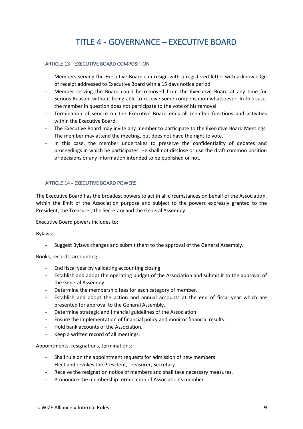### <span id="page-8-1"></span><span id="page-8-0"></span>ARTICLE 13 - EXECUTIVE BOARD COMPOSITION

- Members serving the Executive Board can resign with a registered letter with acknowledge of receipt addressed to Executive Board with a 15 days notice period.
- Member serving the Board could be removed from the Executive Board at any time for Serious Reason, without being able to receive some compensation whatsoever. In this case, the member in question does not participate to the vote of his removal.
- Termination of service on the Executive Board ends all member functions and activities within the Executive Board.
- The Executive Board may invite any member to participate to the Executive Board Meetings. The member may attend the meeting, but does not have the right to vote.
- In this case, the member undertakes to preserve the confidentiality of debates and proceedings in which he participates. He shall not disclose or use the draft common position or decisions or any information intended to be published or not.

### <span id="page-8-2"></span>ARTICLE 14 - EXECUTIVE BOARD POWERS

The Executive Board has the broadest powers to act in all circumstances on behalf of the Association, within the limit of the Association purpose and subject to the powers expressly granted to the President, the Treasurer, the Secretary and the General Assembly.

Executive Board powers includes to:

Bylaws:

Suggest Bylaws changes and submit them to the approval of the General Assembly.

Books, records, accounting:

- End fiscal year by validating accounting closing.
- Establish and adopt the operating budget of the Association and submit it to the approval of the General Assembly.
- Determine the membership fees for each category of member.
- Establish and adopt the action and annual accounts at the end of fiscal year which are presented for approval to the General Assembly.
- Determine strategic and financial guidelines of the Association.
- Ensure the implementation of financial policy and monitor financial results.
- Hold bank accounts of the Association.
- Keep a written record of all meetings.

Appointments, resignations, terminations:

- Shall rule on the appointment requests for admission of new members
- Elect and revokes the President, Treasurer, Secretary.
- Receive the resignation notice of members and shall take necessary measures.
- Pronounce the membership termination of Association's member.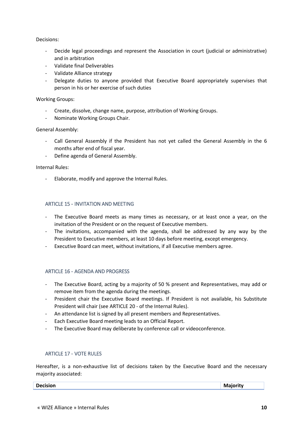### Decisions:

- Decide legal proceedings and represent the Association in court (judicial or administrative) and in arbitration
- Validate final Deliverables
- Validate Alliance strategy
- Delegate duties to anyone provided that Executive Board appropriately supervises that person in his or her exercise of such duties

Working Groups:

- Create, dissolve, change name, purpose, attribution of Working Groups.
- Nominate Working Groups Chair.

### General Assembly:

- Call General Assembly if the President has not yet called the General Assembly in the 6 months after end of fiscal year.
- Define agenda of General Assembly.

### Internal Rules:

- Elaborate, modify and approve the Internal Rules.

### <span id="page-9-0"></span>ARTICLE 15 - INVITATION AND MEETING

- The Executive Board meets as many times as necessary, or at least once a year, on the invitation of the President or on the request of Executive members.
- The invitations, accompanied with the agenda, shall be addressed by any way by the President to Executive members, at least 10 days before meeting, except emergency.
- Executive Board can meet, without invitations, if all Executive members agree.

### <span id="page-9-1"></span>ARTICLE 16 - AGENDA AND PROGRESS

- The Executive Board, acting by a majority of 50 % present and Representatives, may add or remove item from the agenda during the meetings.
- President chair the Executive Board meetings. If President is not available, his Substitute President will chair (se[e ARTICLE 20 -](#page-11-1) of the Internal Rules).
- An attendance list is signed by all present members and Representatives.
- Each Executive Board meeting leads to an Official Report.
- The Executive Board may deliberate by conference call or videoconference.

### <span id="page-9-2"></span>ARTICLE 17 - VOTE RULES

Hereafter, is a non-exhaustive list of decisions taken by the Executive Board and the necessary majority associated:

**Decision Majority**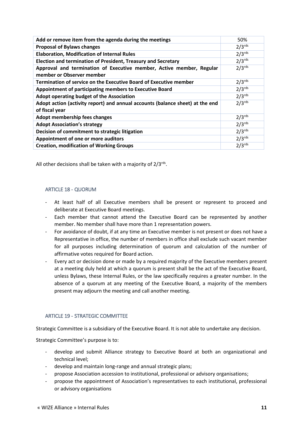| 50%                  |
|----------------------|
| $2/3$ <sup>rds</sup> |
| $2/3$ <sup>rds</sup> |
| $2/3$ <sup>rds</sup> |
| $2/3$ <sup>rds</sup> |
| $2/3$ <sup>rds</sup> |
| $2/3$ <sup>rds</sup> |
| $2/3$ <sup>rds</sup> |
| $2/3$ <sup>rds</sup> |
| $2/3$ <sup>rds</sup> |
| $2/3$ <sup>rds</sup> |
| $2/3$ <sup>rds</sup> |
| $2/3$ <sup>rds</sup> |
| $2/3$ <sup>rds</sup> |
|                      |

All other decisions shall be taken with a majority of  $2/3^{\text{rds}}$ .

### <span id="page-10-0"></span>ARTICLE 18 - QUORUM

- At least half of all Executive members shall be present or represent to proceed and deliberate at Executive Board meetings.
- Each member that cannot attend the Executive Board can be represented by another member. No member shall have more than 1 representation powers.
- For avoidance of doubt, if at any time an Executive member is not present or does not have a Representative in office, the number of members in office shall exclude such vacant member for all purposes including determination of quorum and calculation of the number of affirmative votes required for Board action.
- Every act or decision done or made by a required majority of the Executive members present at a meeting duly held at which a quorum is present shall be the act of the Executive Board, unless Bylaws, these Internal Rules, or the law specifically requires a greater number. In the absence of a quorum at any meeting of the Executive Board, a majority of the members present may adjourn the meeting and call another meeting.

### <span id="page-10-1"></span>ARTICLE 19 - STRATEGIC COMMITTEE

Strategic Committee is a subsidiary of the Executive Board. It is not able to undertake any decision.

Strategic Committee's purpose is to:

- develop and submit Alliance strategy to Executive Board at both an organizational and technical level;
- develop and maintain long-range and annual strategic plans;
- propose Association accession to institutional, professional or advisory organisations;
- propose the appointment of Association's representatives to each institutional, professional or advisory organisations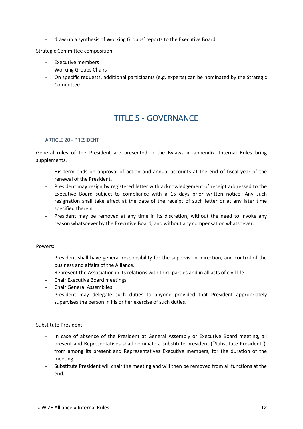- draw up a synthesis of Working Groups' reports to the Executive Board.

Strategic Committee composition:

- Executive members
- Working Groups Chairs
- <span id="page-11-0"></span>- On specific requests, additional participants (e.g. experts) can be nominated by the Strategic Committee

# TITLE 5 - GOVERNANCE

### <span id="page-11-1"></span>ARTICLE 20 - PRESIDENT

General rules of the President are presented in the Bylaws in appendix. Internal Rules bring supplements.

- His term ends on approval of action and annual accounts at the end of fiscal year of the renewal of the President.
- President may resign by registered letter with acknowledgement of receipt addressed to the Executive Board subject to compliance with a 15 days prior written notice. Any such resignation shall take effect at the date of the receipt of such letter or at any later time specified therein.
- President may be removed at any time in its discretion, without the need to invoke any reason whatsoever by the Executive Board, and without any compensation whatsoever.

Powers:

- President shall have general responsibility for the supervision, direction, and control of the business and affairs of the Alliance.
- Represent the Association in its relations with third parties and in all acts of civil life.
- Chair Executive Board meetings.
- Chair General Assemblies.
- President may delegate such duties to anyone provided that President appropriately supervises the person in his or her exercise of such duties.

### Substitute President

- In case of absence of the President at General Assembly or Executive Board meeting, all present and Representatives shall nominate a substitute president ("Substitute President"), from among its present and Representatives Executive members, for the duration of the meeting.
- Substitute President will chair the meeting and will then be removed from all functions at the end.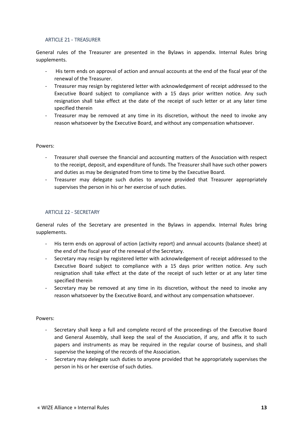### <span id="page-12-0"></span>ARTICLE 21 - TREASURER

General rules of the Treasurer are presented in the Bylaws in appendix. Internal Rules bring supplements.

- His term ends on approval of action and annual accounts at the end of the fiscal year of the renewal of the Treasurer.
- Treasurer may resign by registered letter with acknowledgement of receipt addressed to the Executive Board subject to compliance with a 15 days prior written notice. Any such resignation shall take effect at the date of the receipt of such letter or at any later time specified therein
- Treasurer may be removed at any time in its discretion, without the need to invoke any reason whatsoever by the Executive Board, and without any compensation whatsoever.

### Powers:

- Treasurer shall oversee the financial and accounting matters of the Association with respect to the receipt, deposit, and expenditure of funds. The Treasurer shall have such other powers and duties as may be designated from time to time by the Executive Board.
- Treasurer may delegate such duties to anyone provided that Treasurer appropriately supervises the person in his or her exercise of such duties.

### <span id="page-12-1"></span>ARTICLE 22 - SECRETARY

General rules of the Secretary are presented in the Bylaws in appendix. Internal Rules bring supplements.

- His term ends on approval of action (activity report) and annual accounts (balance sheet) at the end of the fiscal year of the renewal of the Secretary.
- Secretary may resign by registered letter with acknowledgement of receipt addressed to the Executive Board subject to compliance with a 15 days prior written notice. Any such resignation shall take effect at the date of the receipt of such letter or at any later time specified therein
- Secretary may be removed at any time in its discretion, without the need to invoke any reason whatsoever by the Executive Board, and without any compensation whatsoever.

#### Powers:

- Secretary shall keep a full and complete record of the proceedings of the Executive Board and General Assembly, shall keep the seal of the Association, if any, and affix it to such papers and instruments as may be required in the regular course of business, and shall supervise the keeping of the records of the Association.
- Secretary may delegate such duties to anyone provided that he appropriately supervises the person in his or her exercise of such duties.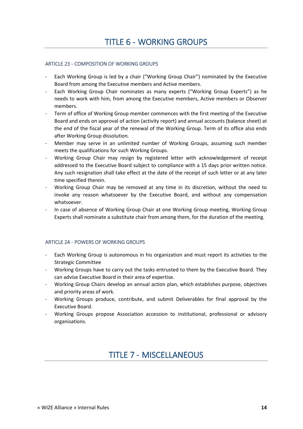### <span id="page-13-1"></span><span id="page-13-0"></span>ARTICLE 23 - COMPOSITION OF WORKING GROUPS

- Each Working Group is led by a chair ("Working Group Chair") nominated by the Executive Board from among the Executive members and Active members.
- Each Working Group Chair nominates as many experts ("Working Group Experts") as he needs to work with him, from among the Executive members, Active members or Observer members.
- Term of office of Working Group member commences with the first meeting of the Executive Board and ends on approval of action (activity report) and annual accounts (balance sheet) at the end of the fiscal year of the renewal of the Working Group. Term of its office also ends after Working Group dissolution.
- Member may serve in an unlimited number of Working Groups, assuming such member meets the qualifications for such Working Groups.
- Working Group Chair may resign by registered letter with acknowledgement of receipt addressed to the Executive Board subject to compliance with a 15 days prior written notice. Any such resignation shall take effect at the date of the receipt of such letter or at any later time specified therein.
- Working Group Chair may be removed at any time in its discretion, without the need to invoke any reason whatsoever by the Executive Board, and without any compensation whatsoever.
- In case of absence of Working Group Chair at one Working Group meeting, Working Group Experts shall nominate a substitute chair from among them, for the duration of the meeting.

### <span id="page-13-2"></span>ARTICLE 24 - POWERS OF WORKING GROUPS

- Each Working Group is autonomous in his organization and must report its activities to the Strategic Committee
- Working Groups have to carry out the tasks entrusted to them by the Executive Board. They can advise Executive Board in their area of expertise.
- Working Group Chairs develop an annual action plan, which establishes purpose, objectives and priority areas of work.
- Working Groups produce, contribute, and submit Deliverables for final approval by the Executive Board.
- <span id="page-13-3"></span>- Working Groups propose Association accession to institutional, professional or advisory organisations.

# TITLE 7 - MISCELLANEOUS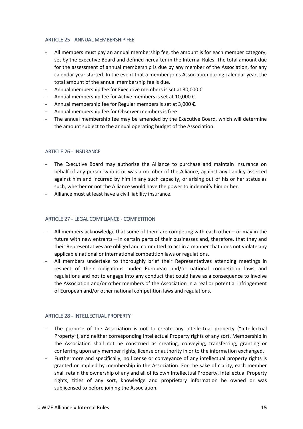### <span id="page-14-0"></span>ARTICLE 25 - ANNUAL MEMBERSHIP FEE

- All members must pay an annual membership fee, the amount is for each member category, set by the Executive Board and defined hereafter in the Internal Rules. The total amount due for the assessment of annual membership is due by any member of the Association, for any calendar year started. In the event that a member joins Association during calendar year, the total amount of the annual membership fee is due.
- Annual membership fee for Executive members is set at 30,000 €.
- Annual membership fee for Active members is set at 10,000  $\epsilon$ .
- Annual membership fee for Regular members is set at 3,000 €.
- Annual membership fee for Observer members is free.
- The annual membership fee may be amended by the Executive Board, which will determine the amount subject to the annual operating budget of the Association.

### <span id="page-14-1"></span>ARTICLE 26 - INSURANCE

- The Executive Board may authorize the Alliance to purchase and maintain insurance on behalf of any person who is or was a member of the Alliance, against any liability asserted against him and incurred by him in any such capacity, or arising out of his or her status as such, whether or not the Alliance would have the power to indemnify him or her.
- Alliance must at least have a civil liability insurance.

### <span id="page-14-2"></span>ARTICLE 27 - LEGAL COMPLIANCE - COMPETITION

- All members acknowledge that some of them are competing with each other or may in the future with new entrants – in certain parts of their businesses and, therefore, that they and their Representatives are obliged and committed to act in a manner that does not violate any applicable national or international competition laws or regulations.
- All members undertake to thoroughly brief their Representatives attending meetings in respect of their obligations under European and/or national competition laws and regulations and not to engage into any conduct that could have as a consequence to involve the Association and/or other members of the Association in a real or potential infringement of European and/or other national competition laws and regulations.

### <span id="page-14-3"></span>ARTICLE 28 - INTELLECTUAL PROPERTY

- The purpose of the Association is not to create any intellectual property ("Intellectual Property"), and neither corresponding Intellectual Property rights of any sort. Membership in the Association shall not be construed as creating, conveying, transferring, granting or conferring upon any member rights, license or authority in or to the information exchanged.
- Furthermore and specifically, no license or conveyance of any intellectual property rights is granted or implied by membership in the Association. For the sake of clarity, each member shall retain the ownership of any and all of its own Intellectual Property, Intellectual Property rights, titles of any sort, knowledge and proprietary information he owned or was sublicensed to before joining the Association.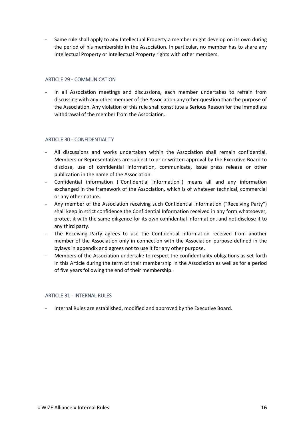Same rule shall apply to any Intellectual Property a member might develop on its own during the period of his membership in the Association. In particular, no member has to share any Intellectual Property or Intellectual Property rights with other members.

### <span id="page-15-0"></span>ARTICLE 29 - COMMUNICATION

In all Association meetings and discussions, each member undertakes to refrain from discussing with any other member of the Association any other question than the purpose of the Association. Any violation of this rule shall constitute a Serious Reason for the immediate withdrawal of the member from the Association.

### <span id="page-15-1"></span>ARTICLE 30 - CONFIDENTIALITY

- All discussions and works undertaken within the Association shall remain confidential. Members or Representatives are subject to prior written approval by the Executive Board to disclose, use of confidential information, communicate, issue press release or other publication in the name of the Association.
- Confidential information ("Confidential Information") means all and any information exchanged in the framework of the Association, which is of whatever technical, commercial or any other nature.
- Any member of the Association receiving such Confidential Information ("Receiving Party") shall keep in strict confidence the Confidential Information received in any form whatsoever, protect it with the same diligence for its own confidential information, and not disclose it to any third party.
- The Receiving Party agrees to use the Confidential Information received from another member of the Association only in connection with the Association purpose defined in the bylaws in appendix and agrees not to use it for any other purpose.
- Members of the Association undertake to respect the confidentiality obligations as set forth in this Article during the term of their membership in the Association as well as for a period of five years following the end of their membership.

### <span id="page-15-2"></span>ARTICLE 31 - INTERNAL RULES

- Internal Rules are established, modified and approved by the Executive Board.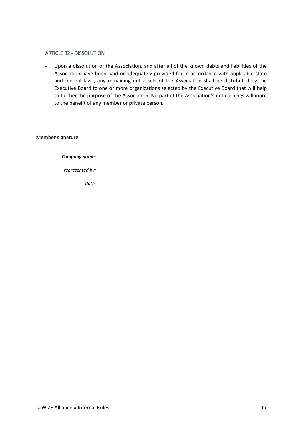### <span id="page-16-0"></span>ARTICLE 32 - DISSOLUTION

- Upon a dissolution of the Association, and after all of the known debts and liabilities of the Association have been paid or adequately provided for in accordance with applicable state and federal laws, any remaining net assets of the Association shall be distributed by the Executive Board to one or more organizations selected by the Executive Board that will help to further the purpose of the Association. No part of the Association's net earnings will inure to the benefit of any member or private person.

Member signature:

*Company name:*

*represented by:*

*date:*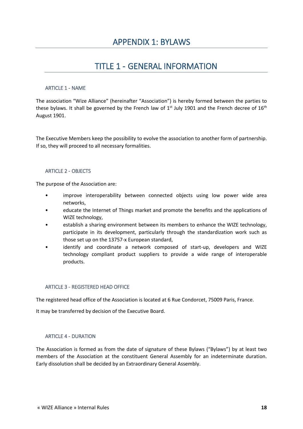# TITLE 1 - GENERAL INFORMATION

### <span id="page-17-2"></span><span id="page-17-1"></span><span id="page-17-0"></span>ARTICLE 1 - NAME

The association "Wize Alliance" (hereinafter "Association") is hereby formed between the parties to these bylaws. It shall be governed by the French law of  $1<sup>st</sup>$  July 1901 and the French decree of  $16<sup>th</sup>$ August 1901.

The Executive Members keep the possibility to evolve the association to another form of partnership. If so, they will proceed to all necessary formalities.

### <span id="page-17-3"></span>ARTICLE 2 - OBJECTS

The purpose of the Association are:

- improve interoperability between connected objects using low power wide area networks,
- educate the Internet of Things market and promote the benefits and the applications of WIZE technology,
- establish a sharing environment between its members to enhance the WIZE technology, participate in its development, particularly through the standardization work such as those set up on the 13757-x European standard,
- identify and coordinate a network composed of start-up, developers and WIZE technology compliant product suppliers to provide a wide range of interoperable products.

### <span id="page-17-4"></span>ARTICLE 3 - REGISTERED HEAD OFFICE

The registered head office of the Association is located at 6 Rue Condorcet, 75009 Paris, France.

It may be transferred by decision of the Executive Board.

### <span id="page-17-5"></span>ARTICLE 4 - DURATION

The Association is formed as from the date of signature of these Bylaws ("Bylaws") by at least two members of the Association at the constituent General Assembly for an indeterminate duration. Early dissolution shall be decided by an Extraordinary General Assembly.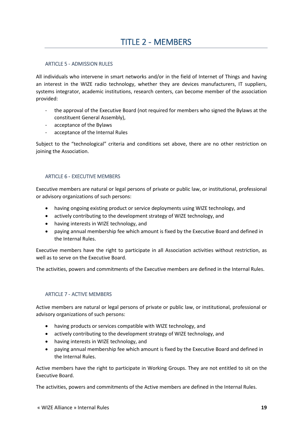### <span id="page-18-1"></span><span id="page-18-0"></span>ARTICLE 5 - ADMISSION RULES

All individuals who intervene in smart networks and/or in the field of Internet of Things and having an interest in the WIZE radio technology, whether they are devices manufacturers, IT suppliers, systems integrator, academic institutions, research centers, can become member of the association provided:

- the approval of the Executive Board (not required for members who signed the Bylaws at the constituent General Assembly),
- acceptance of the Bylaws
- acceptance of the Internal Rules

Subject to the "technological" criteria and conditions set above, there are no other restriction on joining the Association.

### <span id="page-18-2"></span>ARTICLE 6 - EXECUTIVE MEMBERS

Executive members are natural or legal persons of private or public law, or institutional, professional or advisory organizations of such persons:

- having ongoing existing product or service deployments using WIZE technology, and
- actively contributing to the development strategy of WIZE technology, and
- having interests in WIZE technology, and
- paying annual membership fee which amount is fixed by the Executive Board and defined in the Internal Rules.

Executive members have the right to participate in all Association activities without restriction, as well as to serve on the Executive Board.

The activities, powers and commitments of the Executive members are defined in the Internal Rules.

### <span id="page-18-3"></span>ARTICLE 7 - ACTIVE MEMBERS

Active members are natural or legal persons of private or public law, or institutional, professional or advisory organizations of such persons:

- having products or services compatible with WIZE technology, and
- actively contributing to the development strategy of WIZE technology, and
- having interests in WIZE technology, and
- paying annual membership fee which amount is fixed by the Executive Board and defined in the Internal Rules.

Active members have the right to participate in Working Groups. They are not entitled to sit on the Executive Board.

The activities, powers and commitments of the Active members are defined in the Internal Rules.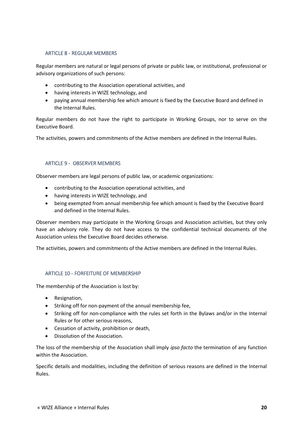### <span id="page-19-0"></span>ARTICLE 8 - REGULAR MEMBERS

Regular members are natural or legal persons of private or public law, or institutional, professional or advisory organizations of such persons:

- contributing to the Association operational activities, and
- having interests in WIZE technology, and
- paying annual membership fee which amount is fixed by the Executive Board and defined in the Internal Rules.

Regular members do not have the right to participate in Working Groups, nor to serve on the Executive Board.

The activities, powers and commitments of the Active members are defined in the Internal Rules.

### <span id="page-19-1"></span>ARTICLE 9 - OBSERVER MEMBERS

Observer members are legal persons of public law, or academic organizations:

- contributing to the Association operational activities, and
- having interests in WIZE technology, and
- being exempted from annual membership fee which amount is fixed by the Executive Board and defined in the Internal Rules.

Observer members may participate in the Working Groups and Association activities, but they only have an advisory role. They do not have access to the confidential technical documents of the Association unless the Executive Board decides otherwise.

The activities, powers and commitments of the Active members are defined in the Internal Rules.

### <span id="page-19-2"></span>ARTICLE 10 - FORFEITURE OF MEMBERSHIP

The membership of the Association is lost by:

- Resignation,
- Striking off for non-payment of the annual membership fee,
- Striking off for non-compliance with the rules set forth in the Bylaws and/or in the Internal Rules or for other serious reasons,
- Cessation of activity, prohibition or death,
- Dissolution of the Association.

The loss of the membership of the Association shall imply *ipso facto* the termination of any function within the Association.

Specific details and modalities, including the definition of serious reasons are defined in the Internal Rules.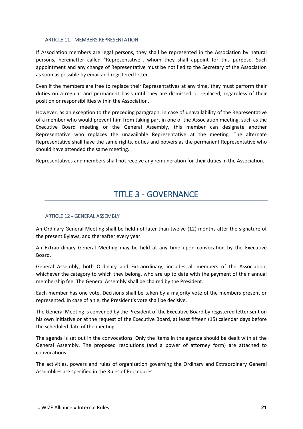### <span id="page-20-0"></span>ARTICLE 11 - MEMBERS REPRESENTATION

If Association members are legal persons, they shall be represented in the Association by natural persons, hereinafter called "Representative", whom they shall appoint for this purpose. Such appointment and any change of Representative must be notified to the Secretary of the Association as soon as possible by email and registered letter.

Even if the members are free to replace their Representatives at any time, they must perform their duties on a regular and permanent basis until they are dismissed or replaced, regardless of their position or responsibilities within the Association.

However, as an exception to the preceding paragraph, in case of unavailability of the Representative of a member who would prevent him from taking part in one of the Association meeting, such as the Executive Board meeting or the General Assembly, this member can designate another Representative who replaces the unavailable Representative at the meeting. The alternate Representative shall have the same rights, duties and powers as the permanent Representative who should have attended the same meeting.

<span id="page-20-1"></span>Representatives and members shall not receive any remuneration for their duties in the Association.

# TITLE 3 - GOVERNANCE

### <span id="page-20-2"></span>ARTICLE 12 - GENERAL ASSEMBLY

An Ordinary General Meeting shall be held not later than twelve (12) months after the signature of the present Bylaws, and thereafter every year.

An Extraordinary General Meeting may be held at any time upon convocation by the Executive Board.

General Assembly, both Ordinary and Extraordinary, includes all members of the Association, whichever the category to which they belong, who are up to date with the payment of their annual membership fee. The General Assembly shall be chaired by the President.

Each member has one vote. Decisions shall be taken by a majority vote of the members present or represented. In case of a tie, the President's vote shall be decisive.

The General Meeting is convened by the President of the Executive Board by registered letter sent on his own initiative or at the request of the Executive Board, at least fifteen (15) calendar days before the scheduled date of the meeting.

The agenda is set out in the convocations. Only the items in the agenda should be dealt with at the General Assembly. The proposed resolutions (and a power of attorney form) are attached to convocations.

The activities, powers and rules of organization governing the Ordinary and Extraordinary General Assemblies are specified in the Rules of Procedures.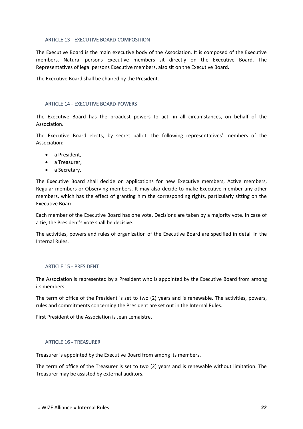### <span id="page-21-0"></span>ARTICLE 13 - EXECUTIVE BOARD-COMPOSITION

The Executive Board is the main executive body of the Association. It is composed of the Executive members. Natural persons Executive members sit directly on the Executive Board. The Representatives of legal persons Executive members, also sit on the Executive Board.

The Executive Board shall be chaired by the President.

### <span id="page-21-1"></span>ARTICLE 14 - EXECUTIVE BOARD-POWERS

The Executive Board has the broadest powers to act, in all circumstances, on behalf of the Association.

The Executive Board elects, by secret ballot, the following representatives' members of the Association:

- a President.
- a Treasurer,
- a Secretary.

The Executive Board shall decide on applications for new Executive members, Active members, Regular members or Observing members. It may also decide to make Executive member any other members, which has the effect of granting him the corresponding rights, particularly sitting on the Executive Board.

Each member of the Executive Board has one vote. Decisions are taken by a majority vote. In case of a tie, the President's vote shall be decisive.

The activities, powers and rules of organization of the Executive Board are specified in detail in the Internal Rules.

### <span id="page-21-2"></span>ARTICLE 15 - PRESIDENT

The Association is represented by a President who is appointed by the Executive Board from among its members.

The term of office of the President is set to two (2) years and is renewable. The activities, powers, rules and commitments concerning the President are set out in the Internal Rules.

First President of the Association is Jean Lemaistre.

#### <span id="page-21-3"></span>ARTICLE 16 - TREASURER

Treasurer is appointed by the Executive Board from among its members.

The term of office of the Treasurer is set to two (2) years and is renewable without limitation. The Treasurer may be assisted by external auditors.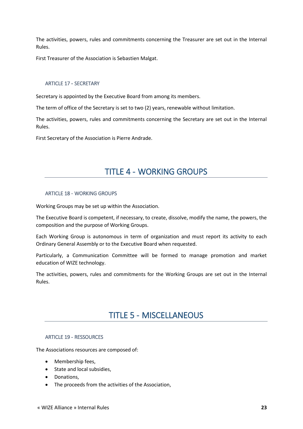The activities, powers, rules and commitments concerning the Treasurer are set out in the Internal Rules.

First Treasurer of the Association is Sebastien Malgat.

### <span id="page-22-0"></span>ARTICLE 17 - SECRETARY

Secretary is appointed by the Executive Board from among its members.

The term of office of the Secretary is set to two (2) years, renewable without limitation.

The activities, powers, rules and commitments concerning the Secretary are set out in the Internal Rules.

<span id="page-22-1"></span>First Secretary of the Association is Pierre Andrade.

## TITLE 4 - WORKING GROUPS

#### <span id="page-22-2"></span>ARTICLE 18 - WORKING GROUPS

Working Groups may be set up within the Association.

The Executive Board is competent, if necessary, to create, dissolve, modify the name, the powers, the composition and the purpose of Working Groups.

Each Working Group is autonomous in term of organization and must report its activity to each Ordinary General Assembly or to the Executive Board when requested.

Particularly, a Communication Committee will be formed to manage promotion and market education of WIZE technology.

<span id="page-22-3"></span>The activities, powers, rules and commitments for the Working Groups are set out in the Internal Rules.

### TITLE 5 - MISCELLANEOUS

#### <span id="page-22-4"></span>ARTICLE 19 - RESSOURCES

The Associations resources are composed of:

- Membership fees,
- State and local subsidies,
- Donations,
- The proceeds from the activities of the Association,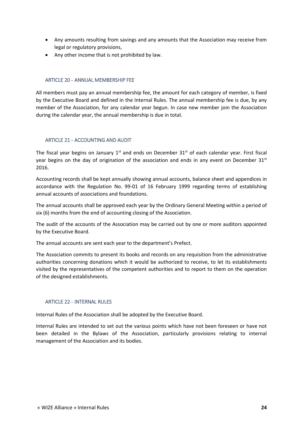- Any amounts resulting from savings and any amounts that the Association may receive from legal or regulatory provisions,
- Any other income that is not prohibited by law.

### <span id="page-23-0"></span>ARTICLE 20 - ANNUAL MEMBERSHIP FEE

All members must pay an annual membership fee, the amount for each category of member, is fixed by the Executive Board and defined in the Internal Rules. The annual membership fee is due, by any member of the Association, for any calendar year begun. In case new member join the Association during the calendar year, the annual membership is due in total.

### <span id="page-23-1"></span>ARTICLE 21 - ACCOUNTING AND AUDIT

The fiscal year begins on January  $1<sup>st</sup>$  and ends on December  $31<sup>st</sup>$  of each calendar year. First fiscal year begins on the day of origination of the association and ends in any event on December  $31<sup>st</sup>$ 2016.

Accounting records shall be kept annually showing annual accounts, balance sheet and appendices in accordance with the Regulation No. 99-01 of 16 February 1999 regarding terms of establishing annual accounts of associations and foundations.

The annual accounts shall be approved each year by the Ordinary General Meeting within a period of six (6) months from the end of accounting closing of the Association.

The audit of the accounts of the Association may be carried out by one or more auditors appointed by the Executive Board.

The annual accounts are sent each year to the department's Prefect.

The Association commits to present its books and records on any requisition from the administrative authorities concerning donations which it would be authorized to receive, to let its establishments visited by the representatives of the competent authorities and to report to them on the operation of the designed establishments.

### <span id="page-23-2"></span>ARTICLE 22 - INTERNAL RULES

Internal Rules of the Association shall be adopted by the Executive Board.

Internal Rules are intended to set out the various points which have not been foreseen or have not been detailed in the Bylaws of the Association, particularly provisions relating to internal management of the Association and its bodies.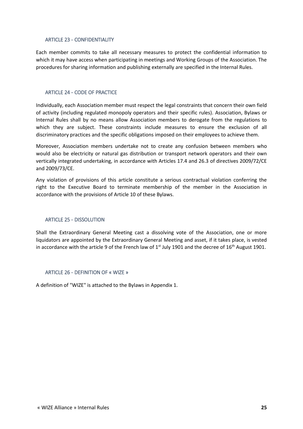### <span id="page-24-0"></span>ARTICLE 23 - CONFIDENTIALITY

Each member commits to take all necessary measures to protect the confidential information to which it may have access when participating in meetings and Working Groups of the Association. The procedures for sharing information and publishing externally are specified in the Internal Rules.

### <span id="page-24-1"></span>ARTICLE 24 - CODE OF PRACTICE

Individually, each Association member must respect the legal constraints that concern their own field of activity (including regulated monopoly operators and their specific rules). Association, Bylaws or Internal Rules shall by no means allow Association members to derogate from the regulations to which they are subject. These constraints include measures to ensure the exclusion of all discriminatory practices and the specific obligations imposed on their employees to achieve them.

Moreover, Association members undertake not to create any confusion between members who would also be electricity or natural gas distribution or transport network operators and their own vertically integrated undertaking, in accordance with Articles 17.4 and 26.3 of directives 2009/72/CE and 2009/73/CE.

Any violation of provisions of this article constitute a serious contractual violation conferring the right to the Executive Board to terminate membership of the member in the Association in accordance with the provisions of Article 10 of these Bylaws.

### <span id="page-24-2"></span>ARTICLE 25 - DISSOLUTION

Shall the Extraordinary General Meeting cast a dissolving vote of the Association, one or more liquidators are appointed by the Extraordinary General Meeting and asset, if it takes place, is vested in accordance with the article 9 of the French law of  $1<sup>st</sup>$  July 1901 and the decree of  $16<sup>th</sup>$  August 1901.

### <span id="page-24-3"></span>ARTICLE 26 - DEFINITION OF « WIZE »

A definition of "WIZE" is attached to the Bylaws in Appendix 1.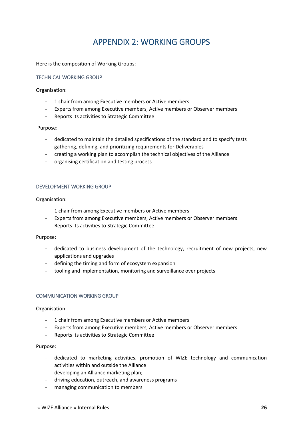# APPENDIX 2: WORKING GROUPS

<span id="page-25-0"></span>Here is the composition of Working Groups:

### <span id="page-25-1"></span>TECHNICAL WORKING GROUP

Organisation:

- 1 chair from among Executive members or Active members
- Experts from among Executive members, Active members or Observer members
- Reports its activities to Strategic Committee

#### Purpose:

- dedicated to maintain the detailed specifications of the standard and to specify tests
- gathering, defining, and prioritizing requirements for Deliverables
- creating a working plan to accomplish the technical objectives of the Alliance
- organising certification and testing process

#### <span id="page-25-2"></span>DEVELOPMENT WORKING GROUP

Organisation:

- 1 chair from among Executive members or Active members
- Experts from among Executive members, Active members or Observer members
- Reports its activities to Strategic Committee

#### Purpose:

- dedicated to business development of the technology, recruitment of new projects, new applications and upgrades
- defining the timing and form of ecosystem expansion
- tooling and implementation, monitoring and surveillance over projects

#### <span id="page-25-3"></span>COMMUNICATION WORKING GROUP

Organisation:

- 1 chair from among Executive members or Active members
- Experts from among Executive members, Active members or Observer members
- Reports its activities to Strategic Committee

#### Purpose:

- dedicated to marketing activities, promotion of WIZE technology and communication activities within and outside the Alliance
- developing an Alliance marketing plan;
- driving education, outreach, and awareness programs
- managing communication to members